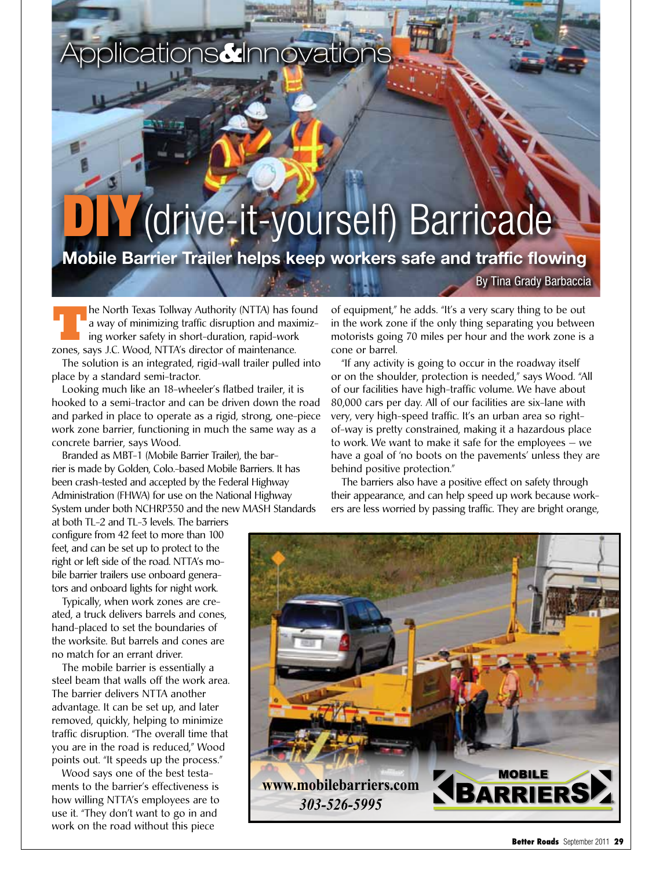## Applications**&**Innovations

## (drive-it-yourself) Barricade

## **Mobile Barrier Trailer helps keep workers safe and traffic flowing**

By Tina Grady Barbaccia

**The North Texas Tollway Authority (NTTA) has found<br>a way of minimizing traffic disruption and maximizing worker safety in short-duration, rapid-work<br>zones says LC Wood NTTA's director of maintenance** a way of minimizing traffic disruption and maximizing worker safety in short-duration, rapid-work zones, says J.C. Wood, NTTA's director of maintenance.

The solution is an integrated, rigid-wall trailer pulled into place by a standard semi-tractor.

Looking much like an 18-wheeler's flatbed trailer, it is hooked to a semi-tractor and can be driven down the road and parked in place to operate as a rigid, strong, one-piece work zone barrier, functioning in much the same way as a concrete barrier, says Wood.

Branded as MBT-1 (Mobile Barrier Trailer), the barrier is made by Golden, Colo.-based Mobile Barriers. It has been crash-tested and accepted by the Federal Highway Administration (FHWA) for use on the National Highway System under both NCHRP350 and the new MASH Standards

at both TL-2 and TL-3 levels. The barriers configure from 42 feet to more than 100 feet, and can be set up to protect to the right or left side of the road. NTTA's mobile barrier trailers use onboard generators and onboard lights for night work.

Typically, when work zones are created, a truck delivers barrels and cones, hand-placed to set the boundaries of the worksite. But barrels and cones are no match for an errant driver.

The mobile barrier is essentially a steel beam that walls off the work area. The barrier delivers NTTA another advantage. It can be set up, and later removed, quickly, helping to minimize traffic disruption. "The overall time that you are in the road is reduced," Wood points out. "It speeds up the process."

Wood says one of the best testaments to the barrier's effectiveness is how willing NTTA's employees are to use it. "They don't want to go in and work on the road without this piece

of equipment," he adds. "It's a very scary thing to be out in the work zone if the only thing separating you between motorists going 70 miles per hour and the work zone is a cone or barrel.

"If any activity is going to occur in the roadway itself or on the shoulder, protection is needed," says Wood. "All of our facilities have high-traffic volume. We have about 80,000 cars per day. All of our facilities are six-lane with very, very high-speed traffic. It's an urban area so rightof-way is pretty constrained, making it a hazardous place to work. We want to make it safe for the employees — we have a goal of 'no boots on the pavements' unless they are behind positive protection."

The barriers also have a positive effect on safety through their appearance, and can help speed up work because workers are less worried by passing traffic. They are bright orange,